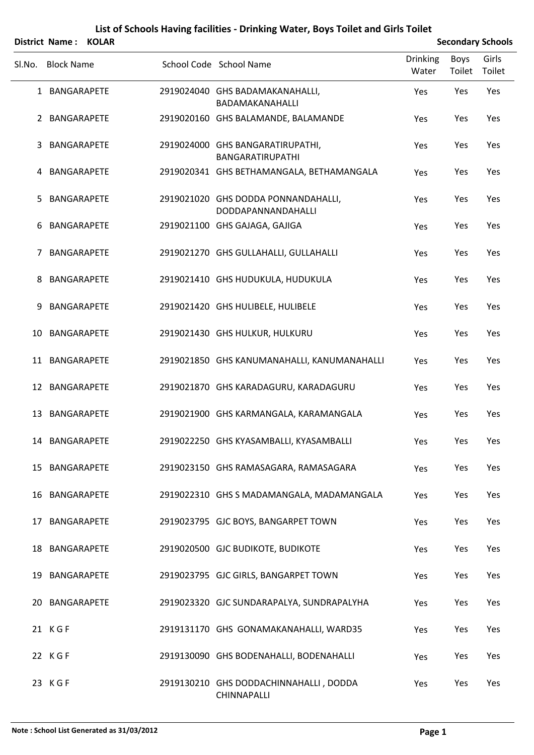|        | <b>District Name:</b><br><b>KOLAR</b> |                                                           |                          |                       | <b>Secondary Schools</b> |
|--------|---------------------------------------|-----------------------------------------------------------|--------------------------|-----------------------|--------------------------|
| Sl.No. | <b>Block Name</b>                     | School Code School Name                                   | <b>Drinking</b><br>Water | <b>Boys</b><br>Toilet | Girls<br>Toilet          |
|        | 1 BANGARAPETE                         | 2919024040 GHS BADAMAKANAHALLI,<br>BADAMAKANAHALLI        | Yes                      | Yes                   | Yes                      |
|        | 2 BANGARAPETE                         | 2919020160 GHS BALAMANDE, BALAMANDE                       | Yes                      | Yes                   | Yes                      |
| 3      | BANGARAPETE                           | 2919024000 GHS BANGARATIRUPATHI,<br>BANGARATIRUPATHI      | Yes                      | Yes                   | Yes                      |
| 4      | BANGARAPETE                           | 2919020341 GHS BETHAMANGALA, BETHAMANGALA                 | Yes                      | Yes                   | Yes                      |
| 5      | BANGARAPETE                           | 2919021020 GHS DODDA PONNANDAHALLI,<br>DODDAPANNANDAHALLI | Yes                      | Yes                   | Yes                      |
| 6      | BANGARAPETE                           | 2919021100 GHS GAJAGA, GAJIGA                             | Yes                      | Yes                   | Yes                      |
| 7      | BANGARAPETE                           | 2919021270 GHS GULLAHALLI, GULLAHALLI                     | Yes                      | Yes                   | Yes                      |
| 8      | BANGARAPETE                           | 2919021410 GHS HUDUKULA, HUDUKULA                         | Yes                      | Yes                   | Yes                      |
| 9      | BANGARAPETE                           | 2919021420 GHS HULIBELE, HULIBELE                         | Yes                      | Yes                   | Yes                      |
| 10     | BANGARAPETE                           | 2919021430 GHS HULKUR, HULKURU                            | Yes                      | Yes                   | Yes                      |
|        | 11 BANGARAPETE                        | 2919021850 GHS KANUMANAHALLI, KANUMANAHALLI               | Yes                      | Yes                   | Yes                      |
|        | 12 BANGARAPETE                        | 2919021870 GHS KARADAGURU, KARADAGURU                     | Yes                      | Yes                   | Yes                      |
|        | 13 BANGARAPETE                        | 2919021900 GHS KARMANGALA, KARAMANGALA                    | Yes                      | Yes                   | Yes                      |
|        | 14 BANGARAPETE                        | 2919022250 GHS KYASAMBALLI, KYASAMBALLI                   | Yes                      | Yes                   | Yes                      |
|        | 15 BANGARAPETE                        | 2919023150 GHS RAMASAGARA, RAMASAGARA                     | Yes                      | Yes                   | Yes                      |
|        | 16 BANGARAPETE                        | 2919022310 GHS S MADAMANGALA, MADAMANGALA                 | Yes                      | Yes                   | Yes                      |
|        | 17 BANGARAPETE                        | 2919023795 GJC BOYS, BANGARPET TOWN                       | Yes                      | Yes                   | Yes                      |
|        | 18 BANGARAPETE                        | 2919020500 GJC BUDIKOTE, BUDIKOTE                         | Yes                      | Yes                   | Yes                      |
|        | 19 BANGARAPETE                        | 2919023795 GJC GIRLS, BANGARPET TOWN                      | Yes                      | Yes                   | Yes                      |
|        | 20 BANGARAPETE                        | 2919023320 GJC SUNDARAPALYA, SUNDRAPALYHA                 | Yes                      | Yes                   | Yes                      |
|        | 21 KGF                                | 2919131170 GHS GONAMAKANAHALLI, WARD35                    | Yes                      | Yes                   | Yes                      |
|        | 22 KGF                                | 2919130090 GHS BODENAHALLI, BODENAHALLI                   | Yes                      | Yes                   | Yes                      |
|        | 23 KGF                                | 2919130210 GHS DODDACHINNAHALLI, DODDA<br>CHINNAPALLI     | Yes                      | Yes                   | Yes                      |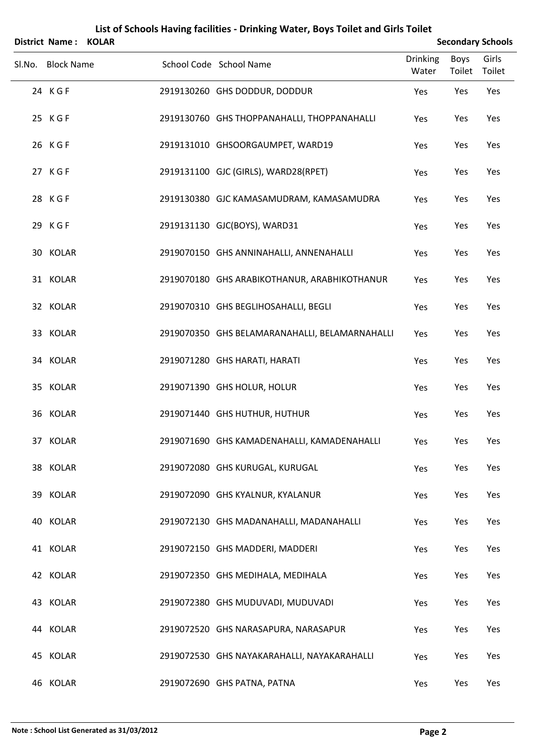| District Name: KOLAR |  |                                                |                          |                | <b>Secondary Schools</b> |
|----------------------|--|------------------------------------------------|--------------------------|----------------|--------------------------|
| Sl.No. Block Name    |  | School Code School Name                        | <b>Drinking</b><br>Water | Boys<br>Toilet | Girls<br>Toilet          |
| 24 KGF               |  | 2919130260 GHS DODDUR, DODDUR                  | Yes                      | Yes            | Yes                      |
| 25 KGF               |  | 2919130760 GHS THOPPANAHALLI, THOPPANAHALLI    | Yes                      | Yes            | Yes                      |
| 26 KGF               |  | 2919131010 GHSOORGAUMPET, WARD19               | Yes                      | Yes            | Yes                      |
| 27 KGF               |  | 2919131100 GJC (GIRLS), WARD28(RPET)           | Yes                      | Yes            | Yes                      |
| 28 KGF               |  | 2919130380 GJC KAMASAMUDRAM, KAMASAMUDRA       | Yes                      | Yes            | Yes                      |
| 29 KGF               |  | 2919131130 GJC(BOYS), WARD31                   | Yes                      | Yes            | Yes                      |
| 30 KOLAR             |  | 2919070150 GHS ANNINAHALLI, ANNENAHALLI        | Yes                      | Yes            | Yes                      |
| 31 KOLAR             |  | 2919070180 GHS ARABIKOTHANUR, ARABHIKOTHANUR   | Yes                      | Yes            | Yes                      |
| 32 KOLAR             |  | 2919070310 GHS BEGLIHOSAHALLI, BEGLI           | Yes                      | Yes            | Yes                      |
| 33 KOLAR             |  | 2919070350 GHS BELAMARANAHALLI, BELAMARNAHALLI | Yes                      | Yes            | Yes                      |
| 34 KOLAR             |  | 2919071280 GHS HARATI, HARATI                  | Yes                      | Yes            | Yes                      |
| 35 KOLAR             |  | 2919071390 GHS HOLUR, HOLUR                    | Yes                      | Yes            | Yes                      |
| 36 KOLAR             |  | 2919071440 GHS HUTHUR, HUTHUR                  | Yes                      | Yes            | Yes                      |
| 37 KOLAR             |  | 2919071690 GHS KAMADENAHALLI, KAMADENAHALLI    | Yes                      | Yes            | Yes                      |
| 38 KOLAR             |  | 2919072080 GHS KURUGAL, KURUGAL                | Yes                      | Yes            | Yes                      |
| 39 KOLAR             |  | 2919072090 GHS KYALNUR, KYALANUR               | Yes                      | Yes            | Yes                      |
| 40 KOLAR             |  | 2919072130 GHS MADANAHALLI, MADANAHALLI        | Yes                      | Yes            | Yes                      |
| 41 KOLAR             |  | 2919072150 GHS MADDERI, MADDERI                | Yes                      | Yes            | Yes                      |
| 42 KOLAR             |  | 2919072350 GHS MEDIHALA, MEDIHALA              | Yes                      | Yes            | Yes                      |
| 43 KOLAR             |  | 2919072380 GHS MUDUVADI, MUDUVADI              | Yes                      | Yes            | Yes                      |
| 44 KOLAR             |  | 2919072520 GHS NARASAPURA, NARASAPUR           | Yes                      | Yes            | Yes                      |
| 45 KOLAR             |  | 2919072530 GHS NAYAKARAHALLI, NAYAKARAHALLI    | Yes                      | Yes            | Yes                      |
| 46 KOLAR             |  | 2919072690 GHS PATNA, PATNA                    | Yes                      | Yes            | Yes                      |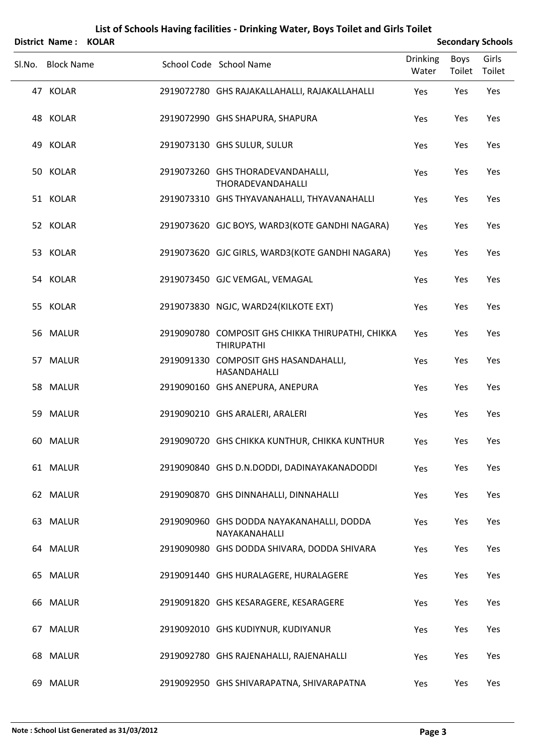|    | District Name:    | <b>KOLAR</b> |                                                                        |                          |                       | <b>Secondary Schools</b> |
|----|-------------------|--------------|------------------------------------------------------------------------|--------------------------|-----------------------|--------------------------|
|    | Sl.No. Block Name |              | School Code School Name                                                | <b>Drinking</b><br>Water | <b>Boys</b><br>Toilet | Girls<br>Toilet          |
|    | 47 KOLAR          |              | 2919072780 GHS RAJAKALLAHALLI, RAJAKALLAHALLI                          | Yes                      | Yes                   | Yes                      |
|    | 48 KOLAR          |              | 2919072990 GHS SHAPURA, SHAPURA                                        | Yes                      | Yes                   | Yes                      |
|    | 49 KOLAR          |              | 2919073130 GHS SULUR, SULUR                                            | Yes                      | Yes                   | Yes                      |
|    | 50 KOLAR          |              | 2919073260 GHS THORADEVANDAHALLI,<br>THORADEVANDAHALLI                 | Yes                      | Yes                   | Yes                      |
|    | 51 KOLAR          |              | 2919073310 GHS THYAVANAHALLI, THYAVANAHALLI                            | Yes                      | Yes                   | Yes                      |
|    | 52 KOLAR          |              | 2919073620 GJC BOYS, WARD3(KOTE GANDHI NAGARA)                         | Yes                      | Yes                   | Yes                      |
|    | 53 KOLAR          |              | 2919073620 GJC GIRLS, WARD3(KOTE GANDHI NAGARA)                        | Yes                      | Yes                   | Yes                      |
|    | 54 KOLAR          |              | 2919073450 GJC VEMGAL, VEMAGAL                                         | Yes                      | Yes                   | Yes                      |
|    | 55 KOLAR          |              | 2919073830 NGJC, WARD24(KILKOTE EXT)                                   | Yes                      | Yes                   | Yes                      |
|    | 56 MALUR          |              | 2919090780 COMPOSIT GHS CHIKKA THIRUPATHI, CHIKKA<br><b>THIRUPATHI</b> | Yes                      | Yes                   | Yes                      |
|    | 57 MALUR          |              | 2919091330 COMPOSIT GHS HASANDAHALLI,<br>HASANDAHALLI                  | Yes                      | Yes                   | Yes                      |
|    | 58 MALUR          |              | 2919090160 GHS ANEPURA, ANEPURA                                        | Yes                      | Yes                   | Yes                      |
| 59 | MALUR             |              | 2919090210 GHS ARALERI, ARALERI                                        | Yes                      | Yes                   | Yes                      |
|    | 60 MALUR          |              | 2919090720 GHS CHIKKA KUNTHUR, CHIKKA KUNTHUR                          | Yes                      | Yes                   | Yes                      |
|    | 61 MALUR          |              | 2919090840 GHS D.N.DODDI, DADINAYAKANADODDI                            | Yes                      | Yes                   | Yes                      |
|    | 62 MALUR          |              | 2919090870 GHS DINNAHALLI, DINNAHALLI                                  | Yes                      | Yes                   | Yes                      |
|    | 63 MALUR          |              | 2919090960 GHS DODDA NAYAKANAHALLI, DODDA<br>NAYAKANAHALLI             | Yes                      | Yes                   | Yes                      |
|    | 64 MALUR          |              | 2919090980 GHS DODDA SHIVARA, DODDA SHIVARA                            | Yes                      | Yes                   | Yes                      |
|    | 65 MALUR          |              | 2919091440 GHS HURALAGERE, HURALAGERE                                  | Yes                      | Yes                   | Yes                      |
|    | 66 MALUR          |              | 2919091820 GHS KESARAGERE, KESARAGERE                                  | Yes                      | Yes                   | Yes                      |
|    | 67 MALUR          |              | 2919092010 GHS KUDIYNUR, KUDIYANUR                                     | Yes                      | Yes                   | Yes                      |
|    | 68 MALUR          |              | 2919092780 GHS RAJENAHALLI, RAJENAHALLI                                | Yes                      | Yes                   | Yes                      |
|    | 69 MALUR          |              | 2919092950 GHS SHIVARAPATNA, SHIVARAPATNA                              | Yes                      | Yes                   | Yes                      |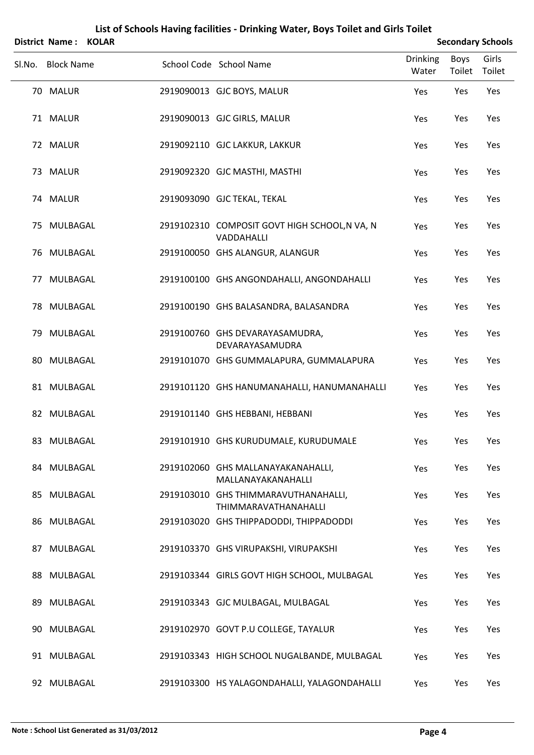|        | District Name: KOLAR |  |                                                                     |                          |                | <b>Secondary Schools</b> |
|--------|----------------------|--|---------------------------------------------------------------------|--------------------------|----------------|--------------------------|
| Sl.No. | <b>Block Name</b>    |  | School Code School Name                                             | <b>Drinking</b><br>Water | Boys<br>Toilet | Girls<br>Toilet          |
|        | 70 MALUR             |  | 2919090013 GJC BOYS, MALUR                                          | Yes                      | Yes            | Yes                      |
|        | 71 MALUR             |  | 2919090013 GJC GIRLS, MALUR                                         | Yes                      | Yes            | Yes                      |
|        | 72 MALUR             |  | 2919092110 GJC LAKKUR, LAKKUR                                       | Yes                      | Yes            | Yes                      |
|        | 73 MALUR             |  | 2919092320 GJC MASTHI, MASTHI                                       | Yes                      | Yes            | Yes                      |
|        | 74 MALUR             |  | 2919093090 GJC TEKAL, TEKAL                                         | Yes                      | Yes            | Yes                      |
|        | 75 MULBAGAL          |  | 2919102310 COMPOSIT GOVT HIGH SCHOOL, N VA, N<br>VADDAHALLI         | Yes                      | Yes            | Yes                      |
|        | 76 MULBAGAL          |  | 2919100050 GHS ALANGUR, ALANGUR                                     | Yes                      | Yes            | Yes                      |
| 77     | MULBAGAL             |  | 2919100100 GHS ANGONDAHALLI, ANGONDAHALLI                           | Yes                      | Yes            | Yes                      |
|        | 78 MULBAGAL          |  | 2919100190 GHS BALASANDRA, BALASANDRA                               | Yes                      | Yes            | Yes                      |
|        | 79 MULBAGAL          |  | 2919100760 GHS DEVARAYASAMUDRA,<br>DEVARAYASAMUDRA                  | Yes                      | Yes            | Yes                      |
| 80     | MULBAGAL             |  | 2919101070 GHS GUMMALAPURA, GUMMALAPURA                             | Yes                      | Yes            | Yes                      |
|        | 81 MULBAGAL          |  | 2919101120 GHS HANUMANAHALLI, HANUMANAHALLI                         | Yes                      | Yes            | Yes                      |
|        | 82 MULBAGAL          |  | 2919101140 GHS HEBBANI, HEBBANI                                     | Yes                      | Yes            | Yes                      |
|        | 83 MULBAGAL          |  | 2919101910 GHS KURUDUMALE, KURUDUMALE                               | Yes                      | Yes            | Yes                      |
|        | 84 MULBAGAL          |  | 2919102060 GHS MALLANAYAKANAHALLI,<br>MALLANAYAKANAHALLI            | Yes                      | Yes            | Yes                      |
|        | 85 MULBAGAL          |  | 2919103010 GHS THIMMARAVUTHANAHALLI,<br><b>THIMMARAVATHANAHALLI</b> | Yes                      | Yes            | Yes                      |
|        | 86 MULBAGAL          |  | 2919103020 GHS THIPPADODDI, THIPPADODDI                             | Yes                      | Yes            | Yes                      |
|        | 87 MULBAGAL          |  | 2919103370 GHS VIRUPAKSHI, VIRUPAKSHI                               | Yes                      | Yes            | Yes                      |
|        | 88 MULBAGAL          |  | 2919103344 GIRLS GOVT HIGH SCHOOL, MULBAGAL                         | Yes                      | Yes            | Yes                      |
|        | 89 MULBAGAL          |  | 2919103343 GJC MULBAGAL, MULBAGAL                                   | Yes                      | Yes            | Yes                      |
| 90.    | MULBAGAL             |  | 2919102970 GOVT P.U COLLEGE, TAYALUR                                | Yes                      | Yes            | Yes                      |
|        | 91 MULBAGAL          |  | 2919103343 HIGH SCHOOL NUGALBANDE, MULBAGAL                         | Yes                      | Yes            | Yes                      |
|        | 92 MULBAGAL          |  | 2919103300 HS YALAGONDAHALLI, YALAGONDAHALLI                        | Yes                      | Yes            | Yes                      |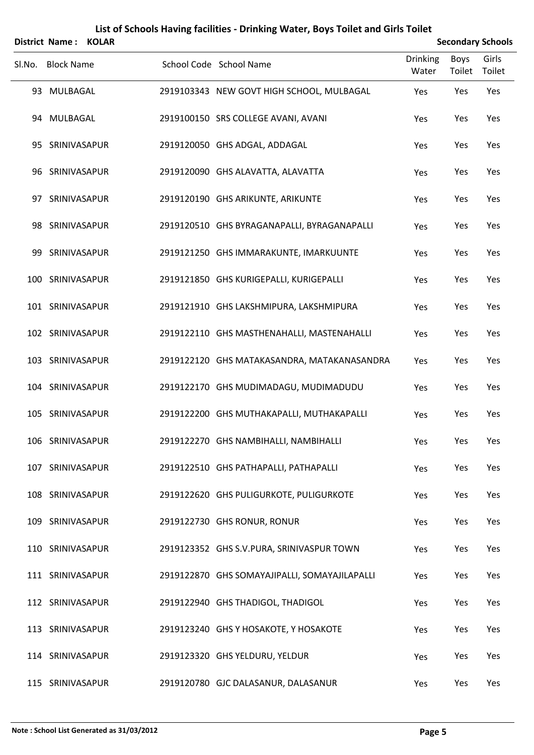|        | <b>District Name:</b> | <b>KOLAR</b> |                                               |                          |                       | <b>Secondary Schools</b> |
|--------|-----------------------|--------------|-----------------------------------------------|--------------------------|-----------------------|--------------------------|
| Sl.No. | <b>Block Name</b>     |              | School Code School Name                       | <b>Drinking</b><br>Water | <b>Boys</b><br>Toilet | Girls<br>Toilet          |
|        | 93 MULBAGAL           |              | 2919103343 NEW GOVT HIGH SCHOOL, MULBAGAL     | Yes                      | Yes                   | Yes                      |
|        | 94 MULBAGAL           |              | 2919100150 SRS COLLEGE AVANI, AVANI           | Yes                      | Yes                   | Yes                      |
|        | 95 SRINIVASAPUR       |              | 2919120050 GHS ADGAL, ADDAGAL                 | Yes                      | Yes                   | Yes                      |
|        | 96 SRINIVASAPUR       |              | 2919120090 GHS ALAVATTA, ALAVATTA             | Yes                      | Yes                   | Yes                      |
|        | 97 SRINIVASAPUR       |              | 2919120190 GHS ARIKUNTE, ARIKUNTE             | Yes                      | Yes                   | Yes                      |
|        | 98 SRINIVASAPUR       |              | 2919120510 GHS BYRAGANAPALLI, BYRAGANAPALLI   | Yes                      | Yes                   | Yes                      |
|        | 99 SRINIVASAPUR       |              | 2919121250 GHS IMMARAKUNTE, IMARKUUNTE        | Yes                      | Yes                   | Yes                      |
|        | 100 SRINIVASAPUR      |              | 2919121850 GHS KURIGEPALLI, KURIGEPALLI       | Yes                      | Yes                   | Yes                      |
|        | 101 SRINIVASAPUR      |              | 2919121910 GHS LAKSHMIPURA, LAKSHMIPURA       | Yes                      | Yes                   | Yes                      |
|        | 102 SRINIVASAPUR      |              | 2919122110 GHS MASTHENAHALLI, MASTENAHALLI    | Yes                      | Yes                   | Yes                      |
|        | 103 SRINIVASAPUR      |              | 2919122120 GHS MATAKASANDRA, MATAKANASANDRA   | Yes                      | Yes                   | Yes                      |
|        | 104 SRINIVASAPUR      |              | 2919122170 GHS MUDIMADAGU, MUDIMADUDU         | Yes                      | Yes                   | Yes                      |
|        | 105 SRINIVASAPUR      |              | 2919122200 GHS MUTHAKAPALLI, MUTHAKAPALLI     | Yes                      | Yes                   | Yes                      |
|        | 106 SRINIVASAPUR      |              | 2919122270 GHS NAMBIHALLI, NAMBIHALLI         | Yes                      | Yes                   | Yes                      |
|        | 107 SRINIVASAPUR      |              | 2919122510 GHS PATHAPALLI, PATHAPALLI         | Yes                      | Yes                   | Yes                      |
|        | 108 SRINIVASAPUR      |              | 2919122620 GHS PULIGURKOTE, PULIGURKOTE       | Yes                      | Yes                   | Yes                      |
|        | 109 SRINIVASAPUR      |              | 2919122730 GHS RONUR, RONUR                   | Yes                      | Yes                   | Yes                      |
|        | 110 SRINIVASAPUR      |              | 2919123352 GHS S.V. PURA, SRINIVASPUR TOWN    | Yes                      | Yes                   | Yes                      |
|        | 111 SRINIVASAPUR      |              | 2919122870 GHS SOMAYAJIPALLI, SOMAYAJILAPALLI | Yes                      | Yes                   | Yes                      |
|        | 112 SRINIVASAPUR      |              | 2919122940 GHS THADIGOL, THADIGOL             | Yes                      | Yes                   | Yes                      |
|        | 113 SRINIVASAPUR      |              | 2919123240 GHS Y HOSAKOTE, Y HOSAKOTE         | Yes                      | Yes                   | Yes                      |
|        | 114 SRINIVASAPUR      |              | 2919123320 GHS YELDURU, YELDUR                | Yes                      | Yes                   | Yes                      |
|        | 115 SRINIVASAPUR      |              | 2919120780 GJC DALASANUR, DALASANUR           | Yes                      | Yes                   | Yes                      |